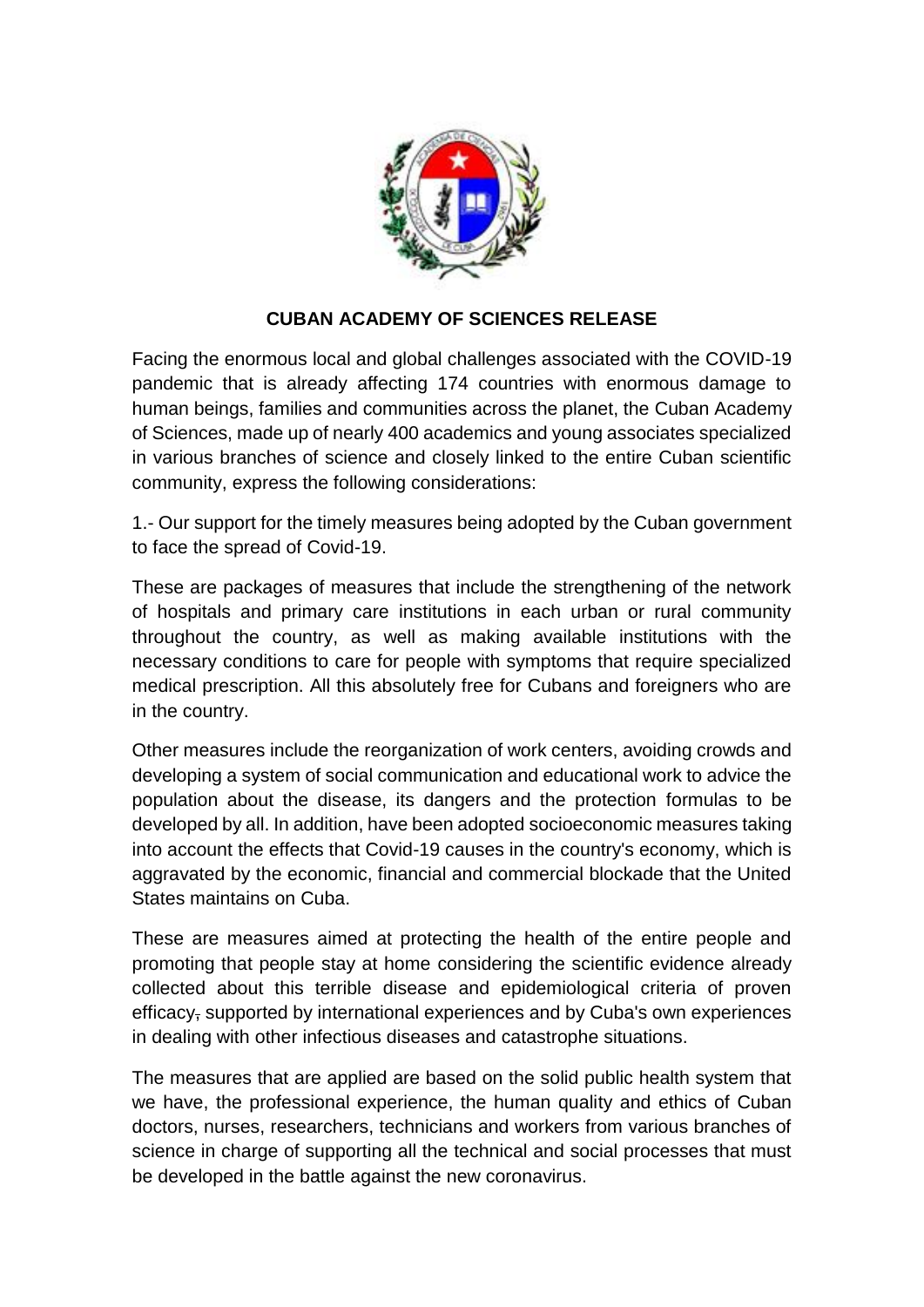

## **CUBAN ACADEMY OF SCIENCES RELEASE**

Facing the enormous local and global challenges associated with the COVID-19 pandemic that is already affecting 174 countries with enormous damage to human beings, families and communities across the planet, the Cuban Academy of Sciences, made up of nearly 400 academics and young associates specialized in various branches of science and closely linked to the entire Cuban scientific community, express the following considerations:

1.- Our support for the timely measures being adopted by the Cuban government to face the spread of Covid-19.

These are packages of measures that include the strengthening of the network of hospitals and primary care institutions in each urban or rural community throughout the country, as well as making available institutions with the necessary conditions to care for people with symptoms that require specialized medical prescription. All this absolutely free for Cubans and foreigners who are in the country.

Other measures include the reorganization of work centers, avoiding crowds and developing a system of social communication and educational work to advice the population about the disease, its dangers and the protection formulas to be developed by all. In addition, have been adopted socioeconomic measures taking into account the effects that Covid-19 causes in the country's economy, which is aggravated by the economic, financial and commercial blockade that the United States maintains on Cuba.

These are measures aimed at protecting the health of the entire people and promoting that people stay at home considering the scientific evidence already collected about this terrible disease and epidemiological criteria of proven efficacy, supported by international experiences and by Cuba's own experiences in dealing with other infectious diseases and catastrophe situations.

The measures that are applied are based on the solid public health system that we have, the professional experience, the human quality and ethics of Cuban doctors, nurses, researchers, technicians and workers from various branches of science in charge of supporting all the technical and social processes that must be developed in the battle against the new coronavirus.